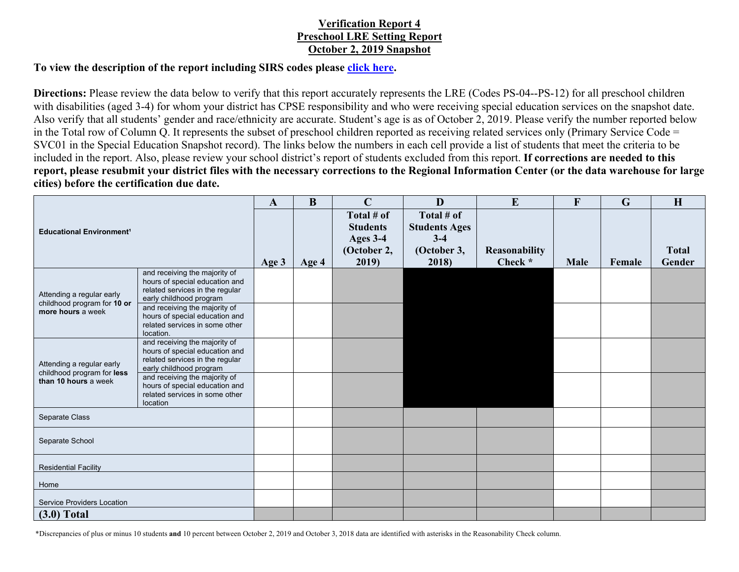## **Verification Report 4 Preschool LRE Setting Report October 2, 2019 Snapshot**

## **To view the description of the report including SIRS codes please click here.**

**Directions:** Please review the data below to verify that this report accurately represents the LRE (Codes PS-04--PS-12) for all preschool children with disabilities (aged 3-4) for whom your district has CPSE responsibility and who were receiving special education services on the snapshot date. Also verify that all students' gender and race/ethnicity are accurate. Student's age is as of October 2, 2019. Please verify the number reported below in the Total row of Column Q. It represents the subset of preschool children reported as receiving related services only (Primary Service Code = SVC01 in the Special Education Snapshot record). The links below the numbers in each cell provide a list of students that meet the criteria to be included in the report. Also, please review your school district's report of students excluded from this report. **If corrections are needed to this report, please resubmit your district files with the necessary corrections to the Regional Information Center (or the data warehouse for large cities) before the certification due date.**

| <b>Educational Environment<sup>1</sup></b>                                      |                                                                   | $\mathbf{A}$ | B     | $\mathbf C$     | D                    | E             | F           | $\mathbf G$ | H            |
|---------------------------------------------------------------------------------|-------------------------------------------------------------------|--------------|-------|-----------------|----------------------|---------------|-------------|-------------|--------------|
|                                                                                 |                                                                   |              |       | Total # of      | Total # of           |               |             |             |              |
|                                                                                 |                                                                   |              |       | <b>Students</b> | <b>Students Ages</b> |               |             |             |              |
|                                                                                 |                                                                   |              |       | Ages 3-4        | $3-4$                |               |             |             |              |
|                                                                                 |                                                                   |              |       | (October 2,     | (October 3,          | Reasonability |             |             | <b>Total</b> |
|                                                                                 |                                                                   | Age 3        | Age 4 | 2019)           | 2018)                | Check *       | <b>Male</b> | Female      | Gender       |
| Attending a regular early<br>childhood program for 10 or<br>more hours a week   | and receiving the majority of                                     |              |       |                 |                      |               |             |             |              |
|                                                                                 | hours of special education and<br>related services in the regular |              |       |                 |                      |               |             |             |              |
|                                                                                 | early childhood program                                           |              |       |                 |                      |               |             |             |              |
|                                                                                 | and receiving the majority of                                     |              |       |                 |                      |               |             |             |              |
|                                                                                 | hours of special education and<br>related services in some other  |              |       |                 |                      |               |             |             |              |
|                                                                                 | location.                                                         |              |       |                 |                      |               |             |             |              |
| Attending a regular early<br>childhood program for less<br>than 10 hours a week | and receiving the majority of                                     |              |       |                 |                      |               |             |             |              |
|                                                                                 | hours of special education and                                    |              |       |                 |                      |               |             |             |              |
|                                                                                 | related services in the regular<br>early childhood program        |              |       |                 |                      |               |             |             |              |
|                                                                                 | and receiving the majority of                                     |              |       |                 |                      |               |             |             |              |
|                                                                                 | hours of special education and<br>related services in some other  |              |       |                 |                      |               |             |             |              |
|                                                                                 | location                                                          |              |       |                 |                      |               |             |             |              |
| Separate Class                                                                  |                                                                   |              |       |                 |                      |               |             |             |              |
| Separate School                                                                 |                                                                   |              |       |                 |                      |               |             |             |              |
|                                                                                 |                                                                   |              |       |                 |                      |               |             |             |              |
|                                                                                 |                                                                   |              |       |                 |                      |               |             |             |              |
| <b>Residential Facility</b>                                                     |                                                                   |              |       |                 |                      |               |             |             |              |
| Home                                                                            |                                                                   |              |       |                 |                      |               |             |             |              |
| <b>Service Providers Location</b>                                               |                                                                   |              |       |                 |                      |               |             |             |              |
|                                                                                 |                                                                   |              |       |                 |                      |               |             |             |              |
| $(3.0)$ Total                                                                   |                                                                   |              |       |                 |                      |               |             |             |              |

\*Discrepancies of plus or minus 10 students **and** 10 percent between October 2, 2019 and October 3, 2018 data are identified with asterisks in the Reasonability Check column.